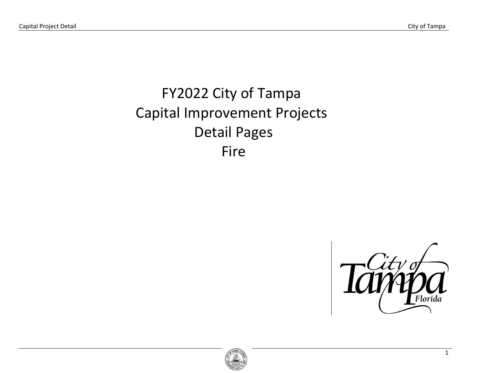# FY2022 City of Tampa Capital Improvement Projects Detail Pages Fire



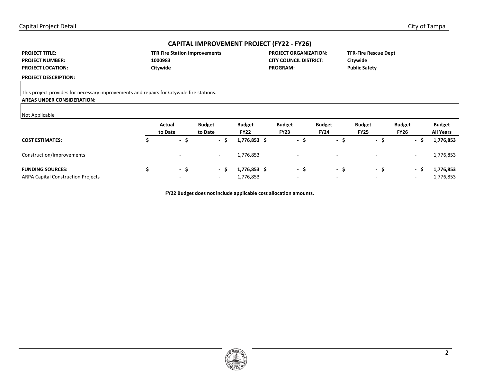| <b>PROJECT TITLE:</b>    |  |
|--------------------------|--|
| <b>PROJECT NUMBER:</b>   |  |
| <b>PROJECT LOCATION:</b> |  |

| <b>TFR Fire Station Improvements</b> | <b>PROJECT ORGANIZATION:</b>  |
|--------------------------------------|-------------------------------|
| 1000983                              | <b>CITY COUNCIL DISTRICT:</b> |
| Citywide                             | <b>PROGRAM:</b>               |

**TFR-Fire Rescue Dept Citywide Public Safety** 

**PROJECT DESCRIPTION:** 

This project provides for necessary improvements and repairs for Citywide fire stations.

## **AREAS UNDER CONSIDERATION:**

#### Not Applicable

|                                           | Actual<br>to Date        | <b>Budget</b><br>to Date | <b>Budget</b><br><b>FY22</b> | <b>Budget</b><br><b>FY23</b> | <b>Budget</b><br><b>FY24</b> | <b>Budget</b><br><b>FY25</b> | <b>Budget</b><br><b>FY26</b> | <b>Budget</b><br><b>All Years</b> |
|-------------------------------------------|--------------------------|--------------------------|------------------------------|------------------------------|------------------------------|------------------------------|------------------------------|-----------------------------------|
| <b>COST ESTIMATES:</b>                    | $\sim$                   | - \$                     | 1,776,853 \$                 | $\sim$                       | - 5                          | - ১                          | - S                          | 1,776,853                         |
| Construction/Improvements                 |                          |                          | 1,776,853                    | $\overline{\phantom{a}}$     |                              |                              | $\overline{\phantom{a}}$     | 1,776,853                         |
| <b>FUNDING SOURCES:</b>                   | $\sim$                   | $\sim$                   | 1,776,853 \$                 | $\sim$                       | - 5                          | - S                          | $\overline{\phantom{a}}$     | 1,776,853                         |
| <b>ARPA Capital Construction Projects</b> | $\overline{\phantom{a}}$ | -                        | 1,776,853                    | $\overline{\phantom{a}}$     |                              |                              | $\overline{\phantom{a}}$     | 1,776,853                         |

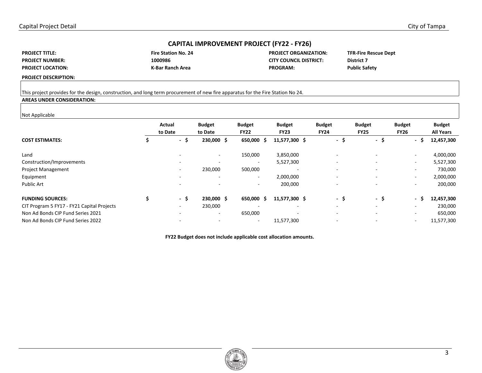| <b>PROJECT TITLE:</b>    |
|--------------------------|
| <b>PROJECT NUMBER:</b>   |
| <b>PROJECT LOCATION:</b> |

| <b>Fire Station No. 2</b> |  |
|---------------------------|--|
| 1000986                   |  |
| K-Bar Ranch Area          |  |

**FIROJECT ORGANIZATION: CITY COUNCIL DISTRICT:** a Ranch Area PROGRAM:

**TFR-Fire Rescue Dept District 7 Public Safety** 

**PROJECT DESCRIPTION:** 

## This project provides for the design, construction, and long term procurement of new fire apparatus for the Fire Station No 24.

## **AREAS UNDER CONSIDERATION:**

#### Not Applicable

| .                                          |                   |                          |                              |                              |                              |                              |                              |                                   |
|--------------------------------------------|-------------------|--------------------------|------------------------------|------------------------------|------------------------------|------------------------------|------------------------------|-----------------------------------|
|                                            | Actual<br>to Date | <b>Budget</b><br>to Date | <b>Budget</b><br><b>FY22</b> | <b>Budget</b><br><b>FY23</b> | <b>Budget</b><br><b>FY24</b> | <b>Budget</b><br><b>FY25</b> | <b>Budget</b><br><b>FY26</b> | <b>Budget</b><br><b>All Years</b> |
| <b>COST ESTIMATES:</b>                     | - \$              | 230,000 \$               | 650,000 \$                   | 11,577,300 \$                | - \$                         | - \$                         | - \$                         | 12,457,300                        |
| Land                                       |                   | $\sim$                   | 150,000                      | 3,850,000                    |                              |                              | $\sim$                       | 4,000,000                         |
| Construction/Improvements                  |                   |                          | $\overline{\phantom{a}}$     | 5,527,300                    | $\overline{\phantom{a}}$     |                              | $\sim$                       | 5,527,300                         |
| <b>Project Management</b>                  | $\overline{a}$    | 230,000                  | 500,000                      |                              |                              |                              | $\overline{\phantom{a}}$     | 730,000                           |
| Equipment                                  |                   |                          | $\overline{\phantom{a}}$     | 2,000,000                    |                              |                              | $\sim$                       | 2,000,000                         |
| <b>Public Art</b>                          |                   |                          | $\overline{\phantom{a}}$     | 200,000                      |                              |                              | $\overline{\phantom{a}}$     | 200,000                           |
| <b>FUNDING SOURCES:</b>                    | - \$              | 230,000 \$               | 650,000 \$                   | 11,577,300 \$                | - \$                         | -\$                          | - \$                         | 12,457,300                        |
| CIT Program 5 FY17 - FY21 Capital Projects |                   | 230,000                  | ۰.                           | $\overline{\phantom{a}}$     |                              |                              | $\overline{\phantom{a}}$     | 230,000                           |
| Non Ad Bonds CIP Fund Series 2021          |                   | $\sim$                   | 650,000                      | $\overline{a}$               |                              |                              | $\overline{\phantom{a}}$     | 650,000                           |
| Non Ad Bonds CIP Fund Series 2022          |                   |                          | $\overline{\phantom{0}}$     | 11,577,300                   |                              |                              | $\overline{\phantom{a}}$     | 11,577,300                        |
|                                            |                   |                          |                              |                              |                              |                              |                              |                                   |

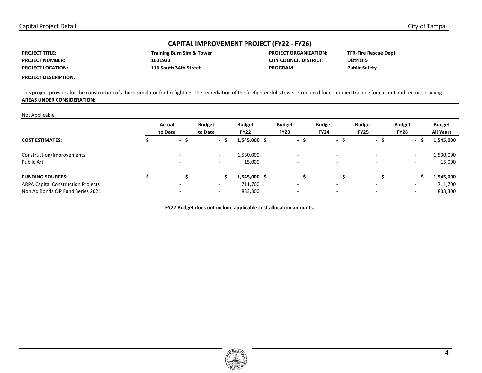| <b>PROJECT TITLE:</b>    |
|--------------------------|
| <b>PROJECT NUMBER:</b>   |
| <b>PROJECT LOCATION:</b> |

| <b>Training Burn Sim &amp; Towe</b> |  |
|-------------------------------------|--|
| 1001933                             |  |
| 116 South 34th Street               |  |

**Training Burn Sim & Tower PROJECT ORGANIZATION: CITY COUNCIL DISTRICT: PROGRAM:** 

**TFR-Fire Rescue Dept District 5 Public Safety** 

**PROJECT DESCRIPTION:** 

This project provides for the construction of a burn simulator for firefighting. The remediation of the firefighter skills tower is required for continued training for current and recruits training. **AREAS UNDER CONSIDERATION:** 

#### Not Applicable

| <b>INOL Applicable</b>                    |              |                          |               |                          |                          |                          |                                 |                  |
|-------------------------------------------|--------------|--------------------------|---------------|--------------------------|--------------------------|--------------------------|---------------------------------|------------------|
|                                           | Actual       | <b>Budget</b>            | <b>Budget</b> | <b>Budget</b>            | <b>Budget</b>            | <b>Budget</b>            | <b>Budget</b>                   | <b>Budget</b>    |
|                                           | to Date      | to Date                  | <b>FY22</b>   | <b>FY23</b>              | <b>FY24</b>              | <b>FY25</b>              | <b>FY26</b>                     | <b>All Years</b> |
| <b>COST ESTIMATES:</b>                    | $\sim$<br>э. | - \$                     | 1,545,000 \$  | $\sim$<br>$\rightarrow$  | $\sim$<br>د.             | - \$                     | \$.<br>$\overline{\phantom{a}}$ | 1,545,000        |
| Construction/Improvements                 |              | $\overline{\phantom{a}}$ | 1,530,000     | $\overline{\phantom{a}}$ |                          |                          | $\overline{\phantom{a}}$        | 1,530,000        |
| Public Art                                |              | $\overline{\phantom{0}}$ | 15,000        | -                        |                          | $\overline{\phantom{a}}$ | $\overline{\phantom{a}}$        | 15,000           |
| <b>FUNDING SOURCES:</b>                   | - 5          | - 9                      | 1,545,000 \$  | $\sim$<br>$\rightarrow$  | - 5                      | - \$                     | $\sim$<br>э                     | 1,545,000        |
| <b>ARPA Capital Construction Projects</b> |              | $\overline{\phantom{a}}$ | 711,700       | $\overline{\phantom{0}}$ | $\overline{\phantom{a}}$ |                          | $\overline{\phantom{a}}$        | 711,700          |
| Non Ad Bonds CIP Fund Series 2021         |              | $\overline{\phantom{a}}$ | 833,300       | $\overline{\phantom{a}}$ |                          |                          | $\overline{\phantom{a}}$        | 833,300          |

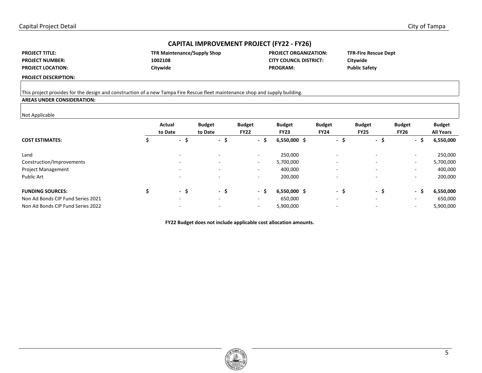| <b>PROJECT TITLE:</b>    |
|--------------------------|
| <b>PROJECT NUMBER:</b>   |
| <b>PROJECT LOCATION:</b> |

| <b>TFR Maintenance/Supply Shop</b> |  |
|------------------------------------|--|
| 1002108                            |  |
| Citywide                           |  |

**PROJECT ORGANIZATION: CITY COUNCIL DISTRICT:** PROGRAM:

**TFR-Fire Rescue Dept Citywide Public Safety** 

**PROJECT DESCRIPTION:** 

## This project provides for the design and construction of a new Tampa Fire Rescue fleet maintenance shop and supply building.

## **AREAS UNDER CONSIDERATION:**

#### Not Applicable

| . <b>. .</b>                      |                          |                          |                              |                              |                              |                              |                              |                                   |
|-----------------------------------|--------------------------|--------------------------|------------------------------|------------------------------|------------------------------|------------------------------|------------------------------|-----------------------------------|
|                                   | Actual<br>to Date        | <b>Budget</b><br>to Date | <b>Budget</b><br><b>FY22</b> | <b>Budget</b><br><b>FY23</b> | <b>Budget</b><br><b>FY24</b> | <b>Budget</b><br><b>FY25</b> | <b>Budget</b><br><b>FY26</b> | <b>Budget</b><br><b>All Years</b> |
| <b>COST ESTIMATES:</b>            | - 5                      | - \$                     | - \$                         | $6,550,000$ \$               | - \$                         | - \$                         | - \$                         | 6,550,000                         |
| Land                              | $\overline{\phantom{0}}$ |                          | $\overline{\phantom{a}}$     | 250,000                      |                              |                              | $\overline{\phantom{a}}$     | 250,000                           |
| Construction/Improvements         | $\overline{\phantom{0}}$ | -                        | $\overline{\phantom{0}}$     | 5,700,000                    |                              | $\overline{\phantom{a}}$     | $\overline{\phantom{a}}$     | 5,700,000                         |
| <b>Project Management</b>         | $\overline{\phantom{0}}$ | -                        | $\overline{\phantom{0}}$     | 400,000                      |                              | $\sim$                       | $\overline{\phantom{a}}$     | 400,000                           |
| <b>Public Art</b>                 | $\overline{\phantom{0}}$ | $\overline{\phantom{0}}$ | $\overline{\phantom{0}}$     | 200,000                      |                              | $\overline{\phantom{a}}$     | $\overline{\phantom{a}}$     | 200,000                           |
| <b>FUNDING SOURCES:</b>           | - \$                     | - \$                     | - \$                         | $6,550,000$ \$               | - \$                         | -\$                          | Ŝ<br>$\sim$                  | 6,550,000                         |
| Non Ad Bonds CIP Fund Series 2021 | $\overline{\phantom{0}}$ | $\overline{\phantom{0}}$ | $\overline{\phantom{a}}$     | 650,000                      | $\overline{\phantom{a}}$     | $\overline{\phantom{a}}$     | $\overline{\phantom{a}}$     | 650,000                           |
| Non Ad Bonds CIP Fund Series 2022 | $\overline{\phantom{0}}$ |                          | $\overline{\phantom{0}}$     | 5,900,000                    |                              |                              | $\overline{\phantom{a}}$     | 5,900,000                         |
|                                   |                          |                          |                              |                              |                              |                              |                              |                                   |

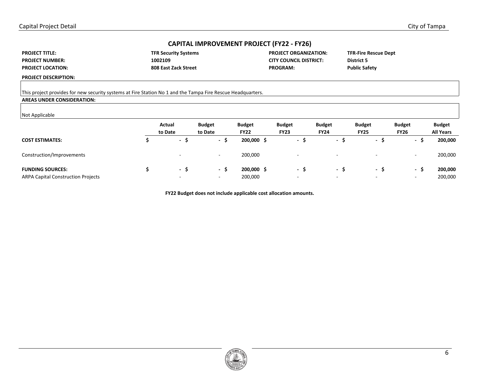| <b>PROJECT TITLE:</b>    |
|--------------------------|
| <b>PROJECT NUMBER:</b>   |
| <b>PROJECT LOCATION:</b> |

| <b>TFR Security Systems</b> |
|-----------------------------|
| 1002109                     |
| 808 East Zack Street        |

**TERM SYSTEMS PROJECT ORGANIZATION: CITY COUNCIL DISTRICT: PROGRAM:** 

**TFR-Fire Rescue Dept District 5 Public Safety** 

**PROJECT DESCRIPTION:** 

This project provides for new security systems at Fire Station No 1 and the Tampa Fire Rescue Headquarters.

## **AREAS UNDER CONSIDERATION:**

#### Not Applicable

| .                                         | Actual<br>to Date | <b>Budget</b><br>to Date | <b>Budget</b><br><b>FY22</b> | <b>Budget</b><br><b>FY23</b> | <b>Budget</b><br><b>FY24</b> | <b>Budget</b><br><b>FY25</b> | <b>Budget</b><br><b>FY26</b>  | <b>Budget</b><br><b>All Years</b> |
|-------------------------------------------|-------------------|--------------------------|------------------------------|------------------------------|------------------------------|------------------------------|-------------------------------|-----------------------------------|
| <b>COST ESTIMATES:</b>                    | $\sim$            | э                        | 200,000 \$                   | $\sim$                       | $\sim$                       | - ১                          | $\overline{\phantom{a}}$<br>∍ | 200,000                           |
| Construction/Improvements                 | -                 | $\overline{\phantom{a}}$ | 200,000                      | $\overline{\phantom{a}}$     |                              |                              | $\overline{\phantom{a}}$      | 200,000                           |
| <b>FUNDING SOURCES:</b>                   | $\sim$            | - 5                      | 200,000 \$                   | $\sim$                       | - 5                          | - S                          | $\sim$                        | 200,000                           |
| <b>ARPA Capital Construction Projects</b> | -                 | $\overline{\phantom{a}}$ | 200,000                      | $\overline{\phantom{0}}$     | $\overline{\phantom{a}}$     | $\overline{\phantom{a}}$     | $\overline{\phantom{0}}$      | 200,000                           |

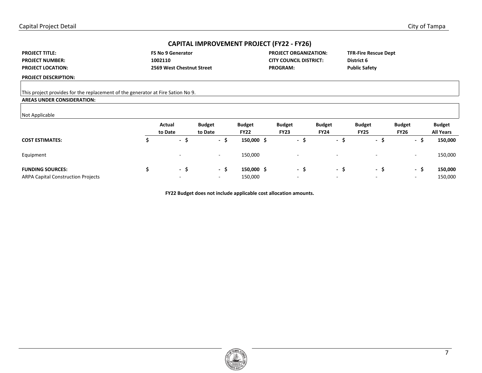| <b>PROJECT TITLE:</b>    |
|--------------------------|
| <b>PROJECT NUMBER:</b>   |
| <b>PROJECT LOCATION:</b> |

FS No 9 Generator **PROJECT ORGANIZATION: 1002110 CITY COUNCIL DISTRICT: 2569 West Chestnut Street PROGRAM:** 

**TFR-Fire Rescue Dept District 6 Public Safety** 

**PROJECT DESCRIPTION:** 

This project provides for the replacement of the generator at Fire Sation No 9.

## **AREAS UNDER CONSIDERATION:**

#### Not Applicable

|                                           | Actual<br>to Date        | <b>Budget</b><br>to Date | <b>Budget</b><br><b>FY22</b> | <b>Budget</b><br><b>FY23</b> | <b>Budget</b><br><b>FY24</b> | <b>Budget</b><br><b>FY25</b> | <b>Budget</b><br><b>FY26</b>  | <b>Budget</b><br><b>All Years</b> |
|-------------------------------------------|--------------------------|--------------------------|------------------------------|------------------------------|------------------------------|------------------------------|-------------------------------|-----------------------------------|
| <b>COST ESTIMATES:</b>                    | $\sim$                   | э<br>$\sim$              | 150,000 \$                   | $\sim$<br>э                  | - >                          | - 5                          | $\overline{\phantom{a}}$<br>э | 150,000                           |
| Equipment                                 |                          | -                        | 150,000                      | $\overline{\phantom{a}}$     | $\sim$                       | $\overline{\phantom{a}}$     | $\overline{\phantom{a}}$      | 150,000                           |
| <b>FUNDING SOURCES:</b>                   | - 5                      | - 5                      | 150,000 \$                   | $\sim$                       | - 5                          | - 5                          | $\sim$<br>э                   | 150,000                           |
| <b>ARPA Capital Construction Projects</b> | $\overline{\phantom{a}}$ | $\overline{\phantom{0}}$ | 150,000                      | $\overline{\phantom{0}}$     | $\overline{\phantom{0}}$     | $\overline{\phantom{a}}$     | $\overline{\phantom{a}}$      | 150,000                           |

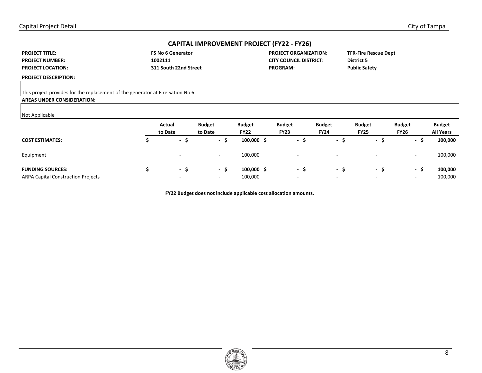| <b>PROJECT TITLE:</b>    |
|--------------------------|
| <b>PROJECT NUMBER:</b>   |
| <b>PROJECT LOCATION:</b> |

**311 South 22nd Street PROGRAM:** 

FS No 6 Generator **PROJECT ORGANIZATION: 1002111 CITY COUNCIL DISTRICT:** 

**TFR-Fire Rescue Dept District 5 Public Safety** 

**PROJECT DESCRIPTION:** 

This project provides for the replacement of the generator at Fire Sation No 6.

## **AREAS UNDER CONSIDERATION:**

#### Not Applicable

|                                           | Actual<br>to Date        | <b>Budget</b><br>to Date | <b>Budget</b><br><b>FY22</b> | <b>Budget</b><br><b>FY23</b> | <b>Budget</b><br><b>FY24</b> | <b>Budget</b><br><b>FY25</b> | <b>Budget</b><br><b>FY26</b> | <b>Budget</b><br><b>All Years</b> |
|-------------------------------------------|--------------------------|--------------------------|------------------------------|------------------------------|------------------------------|------------------------------|------------------------------|-----------------------------------|
| <b>COST ESTIMATES:</b>                    | $\sim$                   | э<br>$\sim$              | $100,000 \;$ \$              | $\sim$<br>د                  | - >                          | - >                          | $\sim$<br>э                  | 100,000                           |
| Equipment                                 | $\overline{\phantom{a}}$ | $\overline{\phantom{0}}$ | 100,000                      | $\overline{\phantom{0}}$     | $\overline{\phantom{a}}$     | $\overline{\phantom{a}}$     | $\overline{\phantom{a}}$     | 100,000                           |
| <b>FUNDING SOURCES:</b>                   | $\sim$                   | - 5                      | $100,000 \;$ \$              | $\overline{\phantom{a}}$     | - 5                          | - 5                          | $\sim$<br>э                  | 100,000                           |
| <b>ARPA Capital Construction Projects</b> | $\overline{\phantom{a}}$ | $\overline{\phantom{0}}$ | 100,000                      | $\overline{\phantom{0}}$     | $\overline{\phantom{a}}$     | $\overline{\phantom{a}}$     | $\overline{\phantom{a}}$     | 100,000                           |

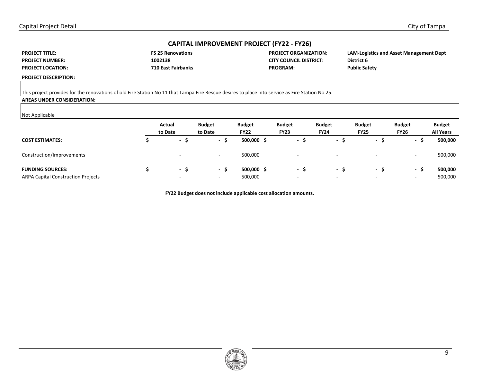| <b>PROJECT TITLE:</b>    |
|--------------------------|
| <b>PROJECT NUMBER:</b>   |
| <b>PROJECT LOCATION:</b> |

| <b>FS 25 Renovation</b> |
|-------------------------|
| 1002138                 |
| 710 East Fairbanl       |

**FROJECT ORGANIZATION: CITY COUNCIL DISTRICT:** *R***<sub>2</sub>** External East Fairbanks PROGRAM:

**LAM-Logistics and Asset Management Dept District 6 Public Safety** 

**PROJECT DESCRIPTION:** 

## This project provides for the renovations of old Fire Station No 11 that Tampa Fire Rescue desires to place into service as Fire Station No 25.

## **AREAS UNDER CONSIDERATION:**

#### Not Applicable

| .                                         | Actual<br>to Date        | <b>Budget</b><br>to Date | <b>Budget</b><br><b>FY22</b> | <b>Budget</b><br><b>FY23</b> | <b>Budget</b><br><b>FY24</b> |     | <b>Budget</b><br><b>FY25</b> | <b>Budget</b><br><b>FY26</b> | <b>Budget</b><br><b>All Years</b> |
|-------------------------------------------|--------------------------|--------------------------|------------------------------|------------------------------|------------------------------|-----|------------------------------|------------------------------|-----------------------------------|
| <b>COST ESTIMATES:</b>                    | $\overline{\phantom{a}}$ | - >                      | 500,000 \$                   | $\sim$                       |                              | - 5 | - S                          | $\sim$                       | 500,000<br>2                      |
| Construction/Improvements                 |                          | $\overline{\phantom{a}}$ | 500,000                      | $\overline{\phantom{a}}$     |                              | . . |                              | $\overline{\phantom{0}}$     | 500,000                           |
| <b>FUNDING SOURCES:</b>                   | $\sim$                   | - 5                      | 500,000 \$                   | $\sim$                       |                              | - 5 | - S                          | - \$                         | 500,000                           |
| <b>ARPA Capital Construction Projects</b> | $\overline{\phantom{a}}$ | $\overline{\phantom{a}}$ | 500,000                      | $\overline{\phantom{a}}$     |                              | . . | $\overline{\phantom{a}}$     | $\overline{\phantom{a}}$     | 500,000                           |